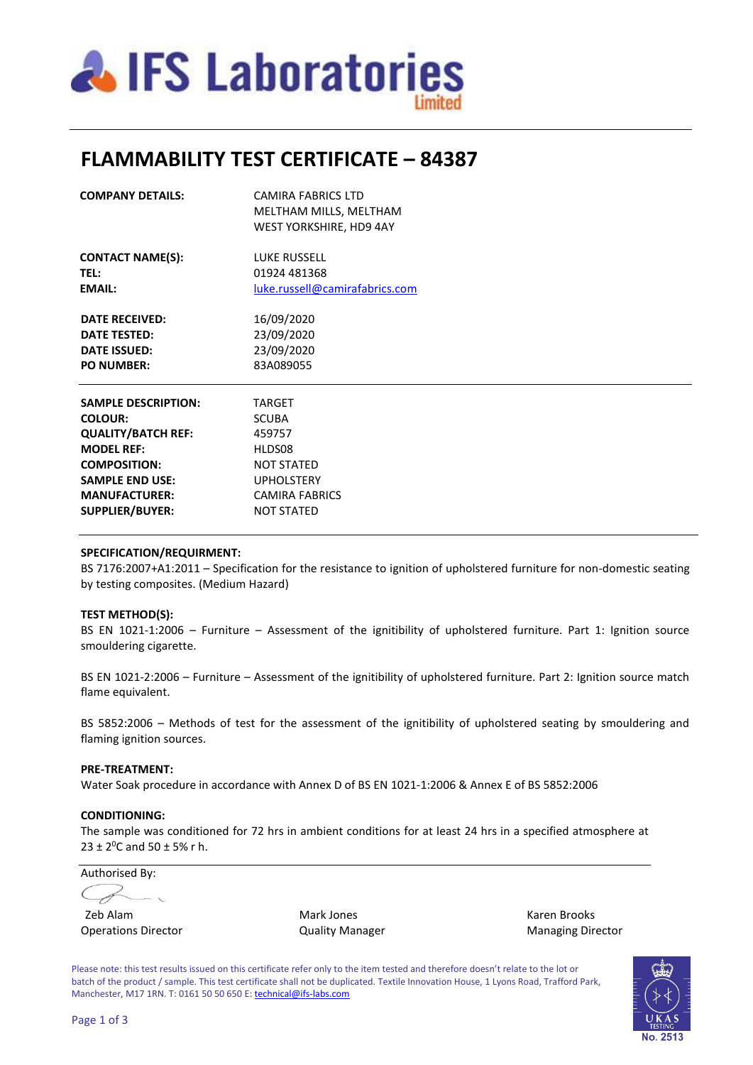

## **FLAMMABILITY TEST CERTIFICATE – 84387**

| <b>COMPANY DETAILS:</b>    | <b>CAMIRA FABRICS LTD</b><br>MELTHAM MILLS, MELTHAM<br>WEST YORKSHIRE, HD9 4AY |  |  |
|----------------------------|--------------------------------------------------------------------------------|--|--|
| <b>CONTACT NAME(S):</b>    | <b>LUKE RUSSELL</b>                                                            |  |  |
| <b>TEL:</b>                | 01924 481368<br>luke.russell@camirafabrics.com                                 |  |  |
| <b>EMAIL:</b>              |                                                                                |  |  |
| <b>DATE RECEIVED:</b>      | 16/09/2020                                                                     |  |  |
| <b>DATE TESTED:</b>        | 23/09/2020<br>23/09/2020                                                       |  |  |
| <b>DATE ISSUED:</b>        |                                                                                |  |  |
| <b>PO NUMBER:</b>          | 83A089055                                                                      |  |  |
| <b>SAMPLE DESCRIPTION:</b> | <b>TARGET</b>                                                                  |  |  |
| <b>COLOUR:</b>             | <b>SCUBA</b>                                                                   |  |  |
| <b>QUALITY/BATCH REF:</b>  | 459757                                                                         |  |  |
| <b>MODEL REF:</b>          | HLDS08                                                                         |  |  |
| <b>COMPOSITION:</b>        | <b>NOT STATED</b>                                                              |  |  |
| <b>SAMPLE END USE:</b>     | <b>UPHOLSTERY</b>                                                              |  |  |
| <b>MANUFACTURER:</b>       | CAMIRA FABRICS                                                                 |  |  |
| <b>SUPPLIER/BUYER:</b>     | NOT STATED                                                                     |  |  |

### **SPECIFICATION/REQUIRMENT:**

BS 7176:2007+A1:2011 – Specification for the resistance to ignition of upholstered furniture for non-domestic seating by testing composites. (Medium Hazard)

### **TEST METHOD(S):**

BS EN 1021-1:2006 – Furniture – Assessment of the ignitibility of upholstered furniture. Part 1: Ignition source smouldering cigarette.

BS EN 1021-2:2006 – Furniture – Assessment of the ignitibility of upholstered furniture. Part 2: Ignition source match flame equivalent.

BS 5852:2006 – Methods of test for the assessment of the ignitibility of upholstered seating by smouldering and flaming ignition sources.

#### **PRE-TREATMENT:**

Water Soak procedure in accordance with Annex D of BS EN 1021-1:2006 & Annex E of BS 5852:2006

#### **CONDITIONING:**

The sample was conditioned for 72 hrs in ambient conditions for at least 24 hrs in a specified atmosphere at  $23 \pm 2^0$ C and  $50 \pm 5\%$  r h.

Authorised By: Cf

Zeb Alam Mark Jones Karen Brooks

Operations Director **Contains Contains Contains Contains Contains Contains Contains Contains Contains Contains Contains Contains Contains Contains Contains Contains Contains Contains Contains Contains Contains Contains Con** 

Please note: this test results issued on this certificate refer only to the item tested and therefore doesn't relate to the lot or batch of the product / sample. This test certificate shall not be duplicated. Textile Innovation House, 1 Lyons Road, Trafford Park, Manchester, M17 1RN. T: 0161 50 50 650 E[: technical@ifs-labs.com](mailto:technical@ifs-labs.com)

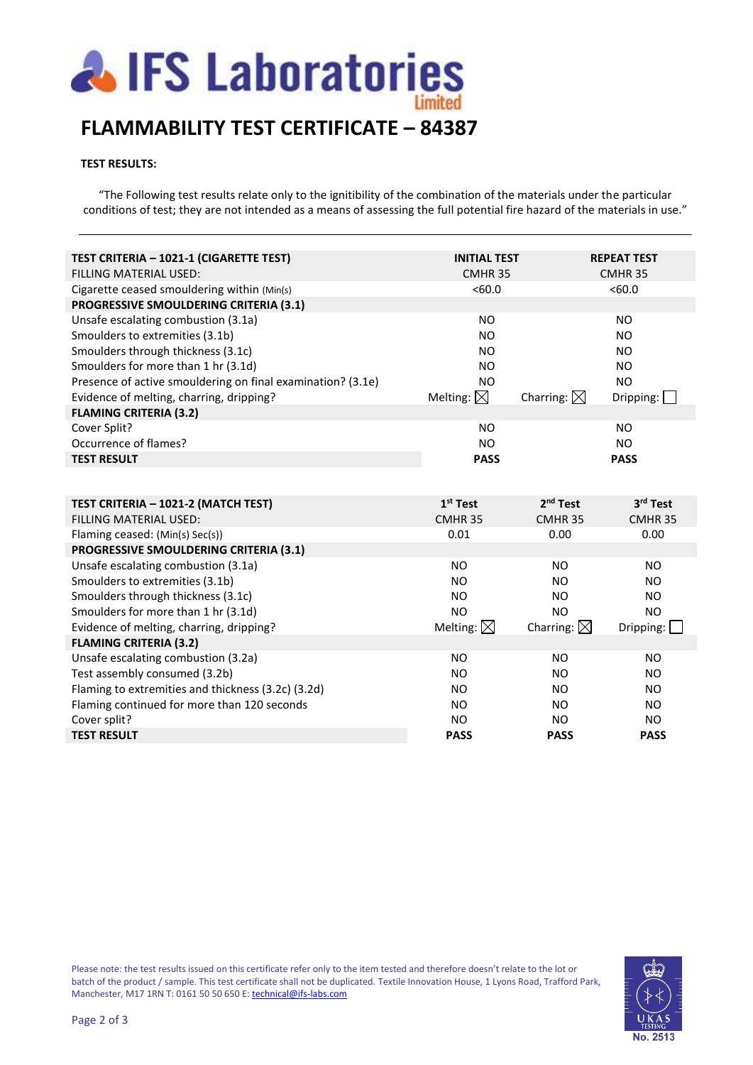

## **FLAMMABILITY TEST CERTIFICATE – 84387**

## **TEST RESULTS:**

"The Following test results relate only to the ignitibility of the combination of the materials under the particular conditions of test; they are not intended as a means of assessing the full potential fire hazard of the materials in use."

| TEST CRITERIA - 1021-1 (CIGARETTE TEST)                                   | <b>INITIAL TEST</b>  |                       | <b>REPEAT TEST</b> |
|---------------------------------------------------------------------------|----------------------|-----------------------|--------------------|
| FILLING MATERIAL USED:                                                    | CMHR <sub>35</sub>   |                       | CMHR <sub>35</sub> |
| Cigarette ceased smouldering within (Min(s)                               | <60.0                |                       | < 60.0             |
| PROGRESSIVE SMOULDERING CRITERIA (3.1)                                    |                      |                       |                    |
| Unsafe escalating combustion (3.1a)                                       | NO.                  |                       | <b>NO</b>          |
| Smoulders to extremities (3.1b)                                           | N <sub>O</sub>       |                       | <b>NO</b>          |
| Smoulders through thickness (3.1c)                                        | NO.                  |                       | <b>NO</b>          |
| Smoulders for more than 1 hr (3.1d)                                       | <b>NO</b>            |                       | <b>NO</b>          |
| Presence of active smouldering on final examination? (3.1e)               | <b>NO</b>            |                       | <b>NO</b>          |
| Evidence of melting, charring, dripping?                                  | Melting: $\boxtimes$ | Charring: $\boxtimes$ | Dripping:          |
| <b>FLAMING CRITERIA (3.2)</b>                                             |                      |                       |                    |
| Cover Split?                                                              | <b>NO</b>            |                       | <b>NO</b>          |
| Occurrence of flames?                                                     | <b>NO</b>            |                       | <b>NO</b>          |
| <b>TEST RESULT</b>                                                        | <b>PASS</b>          |                       | <b>PASS</b>        |
|                                                                           |                      |                       |                    |
|                                                                           |                      |                       |                    |
|                                                                           |                      |                       |                    |
| TEST CRITERIA - 1021-2 (MATCH TEST)                                       | $1st$ Test           | 2 <sup>nd</sup> Test  | 3rd Test           |
| FILLING MATERIAL USED:                                                    | CMHR <sub>35</sub>   | CMHR <sub>35</sub>    | CMHR <sub>35</sub> |
| Flaming ceased: (Min(s) Sec(s))                                           | 0.01                 | 0.00                  | 0.00               |
| PROGRESSIVE SMOULDERING CRITERIA (3.1)                                    |                      |                       |                    |
| Unsafe escalating combustion (3.1a)                                       | <b>NO</b>            | N <sub>O</sub>        | <b>NO</b>          |
| Smoulders to extremities (3.1b)                                           | <b>NO</b>            | NO.                   | <b>NO</b>          |
|                                                                           | N <sub>O</sub>       | NO                    | NO.                |
| Smoulders through thickness (3.1c)                                        | <b>NO</b>            | <b>NO</b>             | <b>NO</b>          |
| Smoulders for more than 1 hr (3.1d)                                       |                      |                       |                    |
| Evidence of melting, charring, dripping?<br><b>FLAMING CRITERIA (3.2)</b> | Melting: $\boxtimes$ | Charring: $\boxtimes$ | Dripping:          |
| Unsafe escalating combustion (3.2a)                                       | <b>NO</b>            | <b>NO</b>             | <b>NO</b>          |
| Test assembly consumed (3.2b)                                             | NO.                  | <b>NO</b>             | <b>NO</b>          |
| Flaming to extremities and thickness (3.2c) (3.2d)                        | <b>NO</b>            | N <sub>O</sub>        | NO                 |
| Flaming continued for more than 120 seconds                               | <b>NO</b>            | <b>NO</b>             | <b>NO</b>          |
|                                                                           | <b>NO</b>            | <b>NO</b>             | <b>NO</b>          |
| Cover split?<br><b>TEST RESULT</b>                                        | <b>PASS</b>          | <b>PASS</b>           | <b>PASS</b>        |

Please note: the test results issued on this certificate refer only to the item tested and therefore doesn't relate to the lot or batch of the product / sample. This test certificate shall not be duplicated. Textile Innovation House, 1 Lyons Road, Trafford Park, Manchester, M17 1RN T: 0161 50 50 650 E[: technical@ifs-labs.com](mailto:technical@ifs-labs.com)